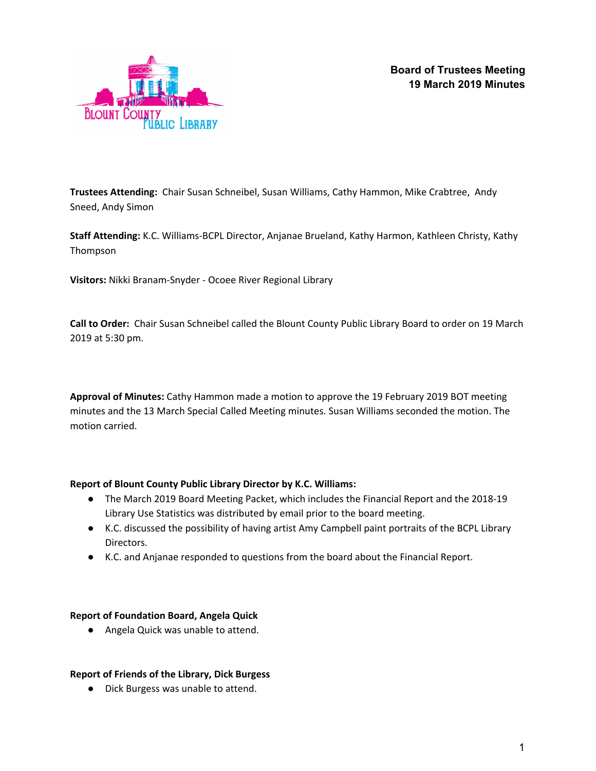

**Trustees Attending:** Chair Susan Schneibel, Susan Williams, Cathy Hammon, Mike Crabtree, Andy Sneed, Andy Simon

**Staff Attending:** K.C. Williams-BCPL Director, Anjanae Brueland, Kathy Harmon, Kathleen Christy, Kathy Thompson

**Visitors:** Nikki Branam-Snyder - Ocoee River Regional Library

**Call to Order:** Chair Susan Schneibel called the Blount County Public Library Board to order on 19 March 2019 at 5:30 pm.

**Approval of Minutes:** Cathy Hammon made a motion to approve the 19 February 2019 BOT meeting minutes and the 13 March Special Called Meeting minutes. Susan Williams seconded the motion. The motion carried.

## **Report of Blount County Public Library Director by K.C. Williams:**

- The March 2019 Board Meeting Packet, which includes the Financial Report and the 2018-19 Library Use Statistics was distributed by email prior to the board meeting.
- K.C. discussed the possibility of having artist Amy Campbell paint portraits of the BCPL Library Directors.
- K.C. and Anjanae responded to questions from the board about the Financial Report.

#### **Report of Foundation Board, Angela Quick**

● Angela Quick was unable to attend.

#### **Report of Friends of the Library, Dick Burgess**

● Dick Burgess was unable to attend.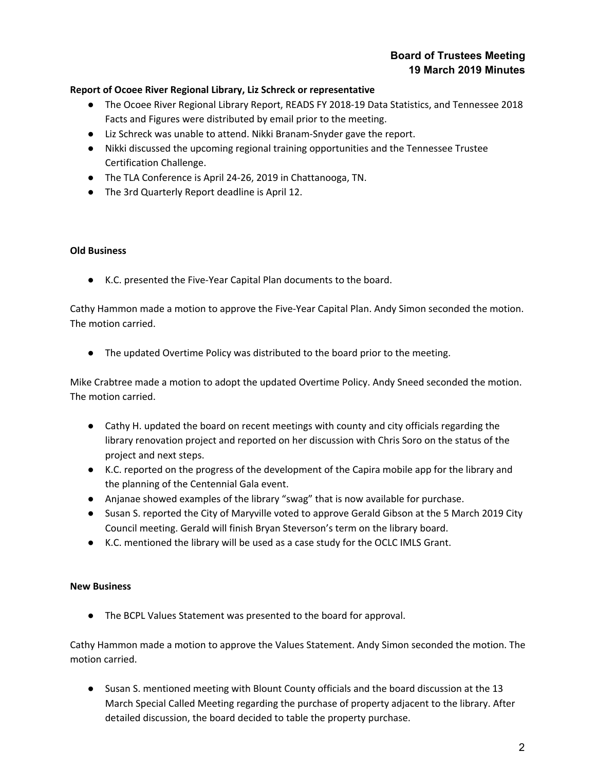# **Board of Trustees Meeting 19 March 2019 Minutes**

### **Report of Ocoee River Regional Library, Liz Schreck or representative**

- The Ocoee River Regional Library Report, READS FY 2018-19 Data Statistics, and Tennessee 2018 Facts and Figures were distributed by email prior to the meeting.
- Liz Schreck was unable to attend. Nikki Branam-Snyder gave the report.
- Nikki discussed the upcoming regional training opportunities and the Tennessee Trustee Certification Challenge.
- The TLA Conference is April 24-26, 2019 in Chattanooga, TN.
- The 3rd Quarterly Report deadline is April 12.

#### **Old Business**

● K.C. presented the Five-Year Capital Plan documents to the board.

Cathy Hammon made a motion to approve the Five-Year Capital Plan. Andy Simon seconded the motion. The motion carried.

● The updated Overtime Policy was distributed to the board prior to the meeting.

Mike Crabtree made a motion to adopt the updated Overtime Policy. Andy Sneed seconded the motion. The motion carried.

- Cathy H. updated the board on recent meetings with county and city officials regarding the library renovation project and reported on her discussion with Chris Soro on the status of the project and next steps.
- K.C. reported on the progress of the development of the Capira mobile app for the library and the planning of the Centennial Gala event.
- Anjanae showed examples of the library "swag" that is now available for purchase.
- Susan S. reported the City of Maryville voted to approve Gerald Gibson at the 5 March 2019 City Council meeting. Gerald will finish Bryan Steverson's term on the library board.
- K.C. mentioned the library will be used as a case study for the OCLC IMLS Grant.

#### **New Business**

● The BCPL Values Statement was presented to the board for approval.

Cathy Hammon made a motion to approve the Values Statement. Andy Simon seconded the motion. The motion carried.

● Susan S. mentioned meeting with Blount County officials and the board discussion at the 13 March Special Called Meeting regarding the purchase of property adjacent to the library. After detailed discussion, the board decided to table the property purchase.